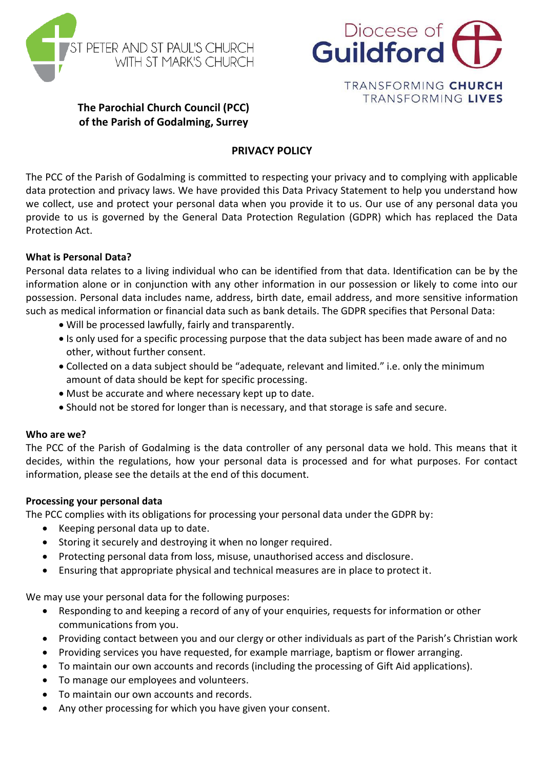



TRANSFORMING CHURCH TRANSFORMING LIVES

# **The Parochial Church Council (PCC) of the Parish of Godalming, Surrey**

# **PRIVACY POLICY**

The PCC of the Parish of Godalming is committed to respecting your privacy and to complying with applicable data protection and privacy laws. We have provided this Data Privacy Statement to help you understand how we collect, use and protect your personal data when you provide it to us. Our use of any personal data you provide to us is governed by the General Data Protection Regulation (GDPR) which has replaced the Data Protection Act.

#### **What is Personal Data?**

Personal data relates to a living individual who can be identified from that data. Identification can be by the information alone or in conjunction with any other information in our possession or likely to come into our possession. Personal data includes name, address, birth date, email address, and more sensitive information such as medical information or financial data such as bank details. The GDPR specifies that Personal Data:

- Will be processed lawfully, fairly and transparently.
- Is only used for a specific processing purpose that the data subject has been made aware of and no other, without further consent.
- Collected on a data subject should be "adequate, relevant and limited." i.e. only the minimum amount of data should be kept for specific processing.
- Must be accurate and where necessary kept up to date.
- Should not be stored for longer than is necessary, and that storage is safe and secure.

#### **Who are we?**

The PCC of the Parish of Godalming is the data controller of any personal data we hold. This means that it decides, within the regulations, how your personal data is processed and for what purposes. For contact information, please see the details at the end of this document.

#### **Processing your personal data**

The PCC complies with its obligations for processing your personal data under the GDPR by:

- Keeping personal data up to date.
- Storing it securely and destroying it when no longer required.
- Protecting personal data from loss, misuse, unauthorised access and disclosure.
- Ensuring that appropriate physical and technical measures are in place to protect it.

We may use your personal data for the following purposes:

- Responding to and keeping a record of any of your enquiries, requests for information or other communications from you.
- Providing contact between you and our clergy or other individuals as part of the Parish's Christian work
- Providing services you have requested, for example marriage, baptism or flower arranging.
- To maintain our own accounts and records (including the processing of Gift Aid applications).
- To manage our employees and volunteers.
- To maintain our own accounts and records.
- Any other processing for which you have given your consent.